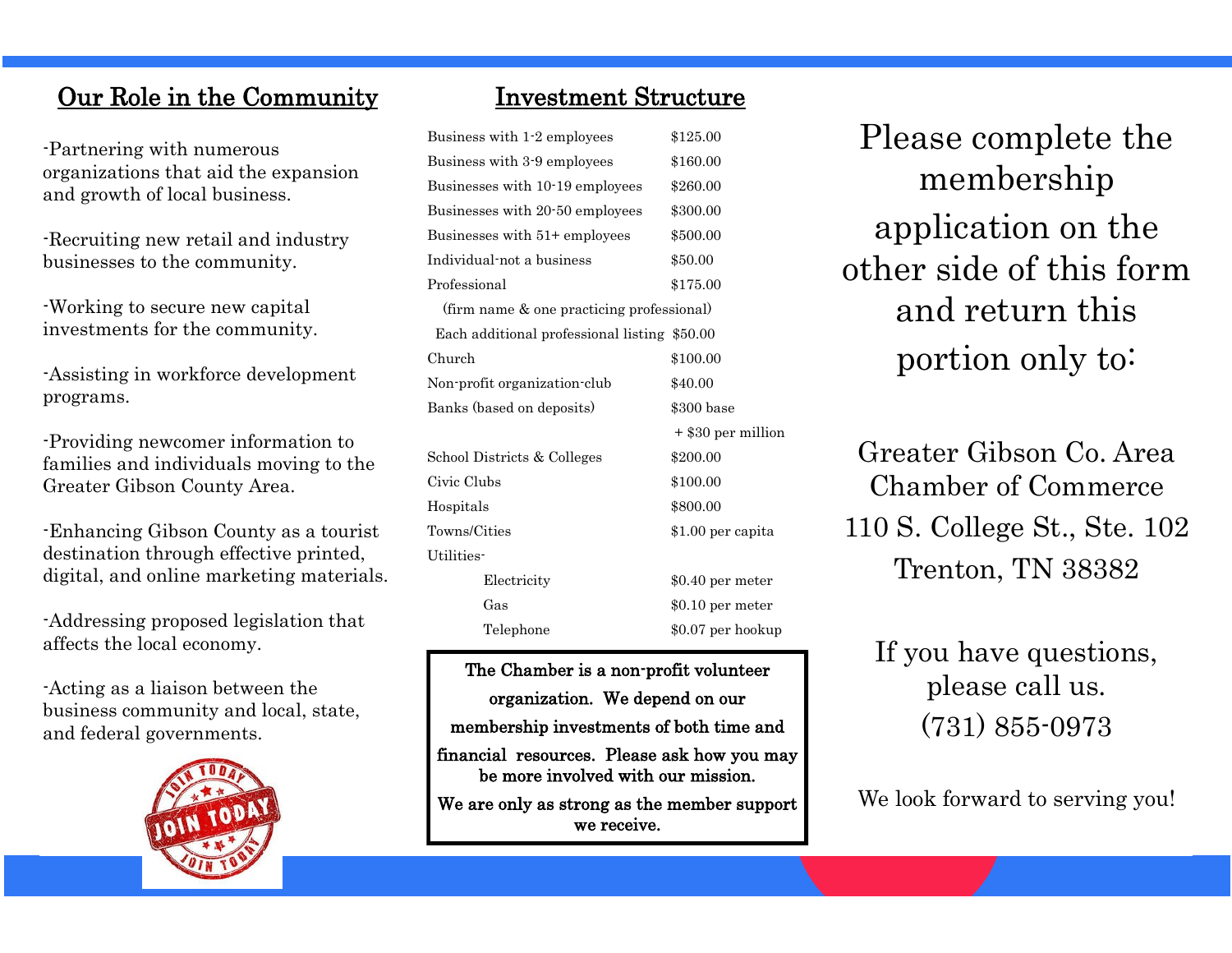# Our Role in the Community

-Partnering with numerous organizations that aid the expansion and growth of local business.

-Recruiting new retail and industry businesses to the community.

-Working to secure new capital investments for the community.

-Assisting in workforce development programs.

-Providing newcomer information to families and individuals moving to the Greater Gibson County Area.

-Enhancing Gibson County as a tourist destination through effective printed, digital, and online marketing materials.

-Addressing proposed legislation that affects the local economy.

-Acting as a liaison between the business community and local, state, and federal governments.



## Investment Structure

| Business with 1.2 employees                  | \$125.00           |
|----------------------------------------------|--------------------|
| Business with 3-9 employees                  | \$160.00           |
| Businesses with 10-19 employees              | \$260.00           |
| Businesses with 20-50 employees              | \$300.00           |
| Businesses with 51+ employees                | \$500.00           |
| Individual-not a business                    | \$50.00            |
| Professional                                 | \$175.00           |
| (firm name & one practicing professional)    |                    |
| Each additional professional listing \$50.00 |                    |
| Church                                       | \$100.00           |
| Non-profit organization-club                 | \$40.00            |
| Banks (based on deposits)                    | \$300 base         |
|                                              | + \$30 per million |
| School Districts & Colleges                  | \$200.00           |
| Civic Clubs                                  | \$100.00           |
| Hospitals                                    | \$800.00           |
| Towns/Cities                                 | \$1.00 per capita  |
| Utilities-                                   |                    |
| Electricity                                  | $$0.40$ per meter  |
| Gas                                          | $$0.10$ per meter  |
| Telephone                                    | \$0.07 per hookup  |
|                                              |                    |

The Chamber is a non-profit volunteer organization. We depend on our membership investments of both time and

financial resources. Please ask how you may be more involved with our mission.

We are only as strong as the member support we receive.

Please complete the membership application on the other side of this form and return this portion only to:

Greater Gibson Co. Area Chamber of Commerce 110 S. College St., Ste. 102 Trenton, TN 38382

If you have questions, please call us. (731) 855-0973

We look forward to serving you!